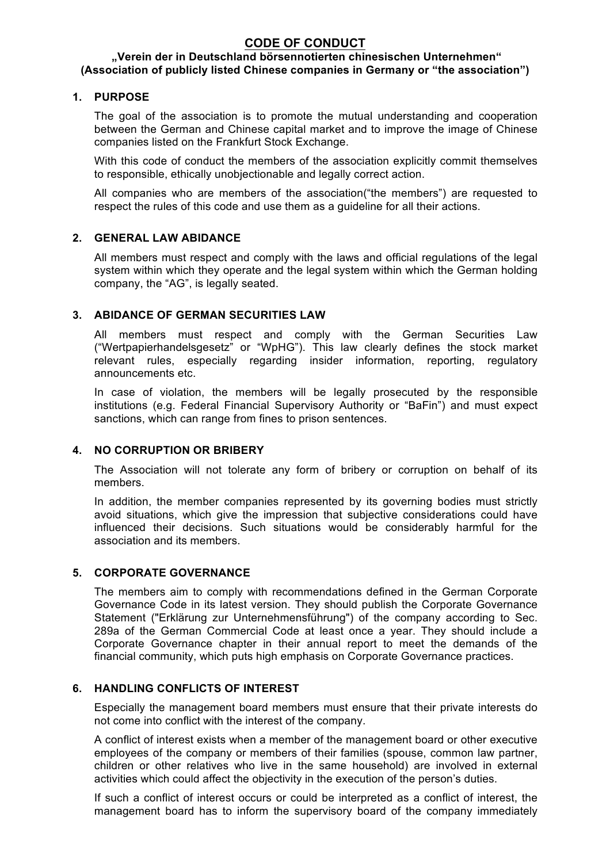# **CODE OF CONDUCT**

#### **"Verein der in Deutschland börsennotierten chinesischen Unternehmen" (Association of publicly listed Chinese companies in Germany or "the association")**

## **1. PURPOSE**

The goal of the association is to promote the mutual understanding and cooperation between the German and Chinese capital market and to improve the image of Chinese companies listed on the Frankfurt Stock Exchange.

With this code of conduct the members of the association explicitly commit themselves to responsible, ethically unobjectionable and legally correct action.

All companies who are members of the association("the members") are requested to respect the rules of this code and use them as a guideline for all their actions.

### **2. GENERAL LAW ABIDANCE**

All members must respect and comply with the laws and official regulations of the legal system within which they operate and the legal system within which the German holding company, the "AG", is legally seated.

# **3. ABIDANCE OF GERMAN SECURITIES LAW**

All members must respect and comply with the German Securities Law ("Wertpapierhandelsgesetz" or "WpHG"). This law clearly defines the stock market relevant rules, especially regarding insider information, reporting, regulatory announcements etc.

In case of violation, the members will be legally prosecuted by the responsible institutions (e.g. Federal Financial Supervisory Authority or "BaFin") and must expect sanctions, which can range from fines to prison sentences.

# **4. NO CORRUPTION OR BRIBERY**

The Association will not tolerate any form of bribery or corruption on behalf of its members.

In addition, the member companies represented by its governing bodies must strictly avoid situations, which give the impression that subjective considerations could have influenced their decisions. Such situations would be considerably harmful for the association and its members.

#### **5. CORPORATE GOVERNANCE**

The members aim to comply with recommendations defined in the German Corporate Governance Code in its latest version. They should publish the Corporate Governance Statement ("Erklärung zur Unternehmensführung") of the company according to Sec. 289a of the German Commercial Code at least once a year. They should include a Corporate Governance chapter in their annual report to meet the demands of the financial community, which puts high emphasis on Corporate Governance practices.

#### **6. HANDLING CONFLICTS OF INTEREST**

Especially the management board members must ensure that their private interests do not come into conflict with the interest of the company.

A conflict of interest exists when a member of the management board or other executive employees of the company or members of their families (spouse, common law partner, children or other relatives who live in the same household) are involved in external activities which could affect the objectivity in the execution of the person's duties.

If such a conflict of interest occurs or could be interpreted as a conflict of interest, the management board has to inform the supervisory board of the company immediately